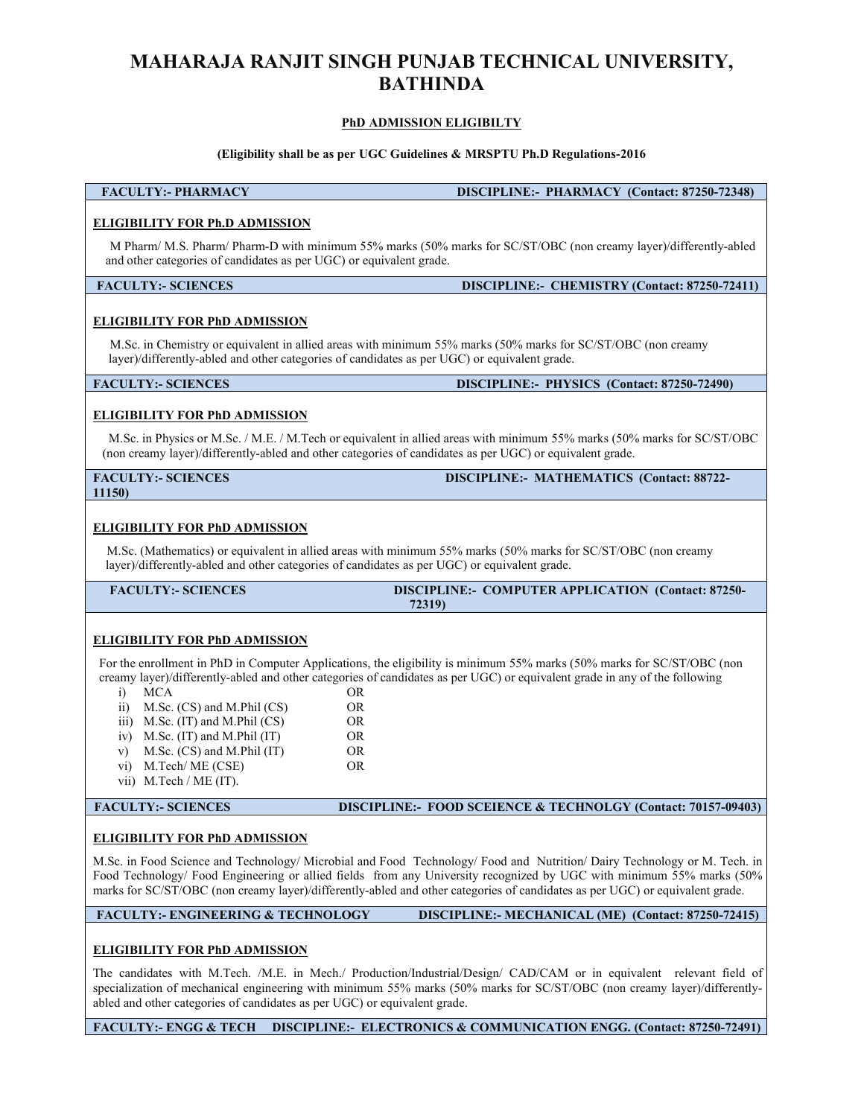# MAHARAJA RANJIT SINGH PUNJAB TECHNICAL UNIVERSITY,<br>BATHINDA<br><u>PhD ADMISSION ELIGIBILTY</u><br>(Eligibility shall be as ner UGC Guidelines & MRSPTU Ph.D Regulations-2016 BATHINDA INGH PUNJAB TECHNICAL UNIVERSITY,<br>BATHINDA<br>PhD ADMISSION ELIGIBILTY<br>DISCIPLINE:- PHARMACY (Contact: 87250-72348)

### (Eligibility shall be as per UGC Guidelines & MRSPTU Ph.D Regulations-2016<br>
MACY DISCIPLINE:- PHARMACY (Contact: 87250-72348)<br>
(Eligibility shall be as per UGC Guidelines & MRSPTU Ph.D Regulations-2016<br>
MACY DISCIPLINE:- P MAHARAJA RANJIT SINGH PUNJAB TECHNICAL UNIVERSITY,<br>
BATHINDA<br>
PhD ADMISSION ELIGIBILTY<br>
(Eligibility shall be as per UGC Guidelines & MRSPTU Ph.D Regulations-2016<br>
FACULTY:- PHARMACY (Discretis of SCIPLINE:- PHARMACY (Cont MAHARAJA RANJIT SINGH PUNJAB TECHNICAL UNIVERSI<br>
BATHINDA<br>
PhD ADMISSION ELIGIBILITY<br>
(Eligibility shall be as per UGC Guidelines & MRSPTU Ph.D Regulations-2016<br>
FACULTY:- PHARMACY DISCIPLINE:- PHARMACY (Contact: 872<br>
ELIG MAHARAJA RANJIT SINGH PUNJAB TECHNICAL UNIVERSITY,<br>
BATHINDA<br>
PhD ADMISSION ELIGIBILTY<br>
(Eligibility shall be as per UGC Guidelines & MRSPTU Ph.D Regulations-2016<br>
ACULTY:- PHARMACY DISCIPLINE:- PHARMACY (Contact: 87250-72 MAHARAJA RANJIT SINGH PUNJAB TECHNICAL UNIVERSITY,<br>
BATHINDA<br>
PhD ADMISSION ELIGIBILITY<br>
(Eligibility shall be as per UGC Guidelines & MRSPTU Ph.D Regulations-2016<br>
FACULTY:- PHARMACY<br>
DISCIPLINE:- PHARMACY (Contact: 87250 MAHARAJA RANJIT SINGH PUNJAB TECHNICAL UNIVERSITY,<br>
BATHINDA<br>
PhD ADMISSION ELIGIBILITY<br>
(Eligibility shall be as per UGC Guidelines & MRSPTU Ph.D Regulations-2016<br>
FACULTY:- PHARMACY (Contact: 87250-72348)<br>
ELIGIBILITY FO MAHARAJA RANJIT SINGH PUNJAB TECHNICAL UNIVERSI<br>
BATHINDA<br>
PhD ADMISSION ELIGIBILITY<br>
(Eligibility shall be as per UGC Guidelines & MRSPTU Ph.D Regulations-2016<br>
FACULTY:- PHARMACY<br>
M Pharm/ M.S. Pharm/ Pharm-D with minimu MAHARAJA RANJIT SINGH PUNJAB TECHNICAL UNIVERSITY,<br>
BATHINDA<br>
The ADMISSION ELIGIBILITY<br>
(Eligibility stal be as per UGC Guidelines & MRSPTU Ph.D Regulations-2016<br>
MPham/MS. Phamp/Platm-D with minimum 55% marks for SC/ST/O MAHARAJA RANJIT SINGH PUNJAB TECHNICAL UNIVERSITY,<br>
BATHINDA<br>
The ADMISSION ELIGIBILTY<br>
(Eligibility shall be as per UGC Guidelines & MRSPTU Ph.D Regulations-2016<br>
ACULTY:- PHARMACY<br>
M Pham MS. Tham Pharm Davis Sing (SP) m **MAHARAJA RANJIT SINGH PUNJAB TECHNICAL UNIVERSITY,**<br> **BATHINDA**<br> **EMOLULTY:- PHARMACY** (Flighbility shall be as per UGC Guidelines & MRSPTU Ph.D Regulations-2016<br>
FACULTY:- PHARMACY (Contact: 87250-72348)<br> **ELIGIBILITY F** MAHARAJA RANJIT SINGH PUNJAB TECHNICAL UNIVERSI<br>
BATHINDA<br>
PhD ADMISSION ELIGIBILITY<br>
(Eligibility shall be as per UGC Guidelines & MRSPTU PhD Regulations-2016<br>
FACULTY:- PHARMACY<br>
ELIGIBILITY FOR Ph.D ADMISSION<br>
M Pharm/ **EXECT ANTIMITY (ENGINITY)**<br>
(ENGINITY) (ENGINITY) THE ARTIST OF CONSIDERATION AND RESPONSE ACTENT OF THE ARTIST OF CONTROL (CONTROL 87250-72348)<br>
(EGINELLY) FOR PILO ADMISSION<br>
M Phamy M.S. Pharmy Pharm-D with minimum 55% **EXECUTE:** FILARMACY (Eligibility shall be as per UGC Guidelines & MRSPTU Ph.D Regulations-2016<br>
FACULTY:- PHARMACY (Contuct: 87250-72348)<br>
ILGIBILITY FOR Ph.D ADMISSION<br>
Marm Pharm-D with minimum 55% marks (50% marks for **EMPLADMISSION ELIGIBILTY**<br> **ELIGIBILITY:- PHARMACY**<br> **ELIGIBILITY:- PHARMACY**<br> **ELIGIBILITY FOR Ph.D ADMISSION**<br> **ELIGIBILITY FOR Ph.D ADMISSION**<br> **ELIGIBILITY FOR Ph.D ADMISSION**<br> **ELIGIBILITY FOR Ph.D ADMISSION**<br> **ELIGI** 11150) ELIGIBILITY FOR PhD ADMISSION<br>
MELIGIBILITY FOR Ph.D ADMISSION<br>
M Pharm/ MS. Pharm/ Pharm-D with minimum 5% marks (50% marks for SC/ST/OBC (non creamy layer)/different<br>
and other categories of candidates as per UGC) or equ MCIBILITY FOR PhD ADMISSION<br>
MCIBILITY FOR PhD ADMISSION<br>
M'Bamw M.S. Pharm/ Pharm/Barm 55% marks (50% marks for SCST/OBC (non creamy layer)differently-abled<br>
md other categories of candidates as per UGC) or equivalent gra LGIBILITY FOR Ph.D ADMISSION<br>
M Pharm/ Pharm-D with minimum 55% marks (50% marks for SC/ST/OBC (non creamy layer)/differently-abled<br>
and other categories of candidates as per UGC) or equivalent grade.<br>
DISCIPLINE:- CIIEMIS FACULTY:- FOR PRID ADMISSION<br>
IN Pharm/ N.S. Pharm/ Pham-D with minimum 55% marks (50% marks for SC/ST/OBC (non creamy layer)/differently-abled<br>
dother categories of candidates as per UGC) or equivalent grade.<br>
ISCIPLINE:-72319) **FACULTY:- SCIENCES**<br> **ELIGIBILITY FOR PhD ADMISSION**<br>
M.Se. in Chemistry or equivalent in allied areas with minimum 55% marks (50% marks for SC/ST/OBC (non crear<br>
layer) differently-abled and other categories of eandidate **ELIGIBILITY FOR PhD ADMISSION**<br>
M.Sc. in Chemistry or equivalent in allied areas with minimum 55% marks (50% marks for SC/ST/OBC (non creamy<br>
laye/j0ff/drendy-sblog and other categories of candidates as per UGC) or equiv **CREAMILITY FOR PhD ADMISSION**<br>
M.Se, in Chemistry or equivalent in allied areas with minimum 55% marks (50% marks for SC/ST/OBC (non creamy<br>
layer)/differently-abled and other categories of candidates as per UGC) or equi **EXECUTE THE SECUTE ANTIFICATION**<br> **EXECUTE:** THE CHEMITY or equivalent in allied areas with minimum 55% marks (50% marks tor SC/ST/OBC (non creamy<br>
ULTY:- SCIENCES<br>
IDIENTY-BOLENCES (Contact: 87250-72490)<br> **IDIENTY-FORE D** i.Sc. in Chemistry or equivalent in allied areas with minimum 55% marks (50% ands for SCSTiOBC (non creamy<br>specifically-abled and other categories of candidates as per UGC) or equivalent grade.<br>
ULTY:- SCIENCES<br>
ULTY:- SCI Set of the Contact: 87250-<br>
THITY:- SCIENCES<br>
ULTY:- SCIENCES<br>
IDISCIPLINE:- PHIVSICS (Contact: 87250-72490)<br>
IDISCIPLINE:- PHIVSICS (Contact: 87250-72490)<br>
ISC. (Nathematics) ADMISSION<br>
IDISCIPLINE:- MATHEMATICS (Contact: **IDEOTED AND ADMISSION**<br> **IDEOTETATY:** FOR PHD ADMISSION<br> **IBILITY FOR PHD ADMISSION**<br> **ISENE AND ADMISSION**<br> **ISENE AND ADMISSION**<br> **ISENE AND ADMISSION**<br> **IDEOTED AND ADMISSION**<br> **IDEOTED AND ADMISSION**<br> **IDEOTED AND ADM** VIEW FOR PHO ADMISSION<br>
TIBILITY FOR PHO ADMISSION<br>
THOT TO RELEVITY FOR PHO ADMISSION<br>
INCOLLETY: SCIENCES<br>
(ITY:-SCIENCES<br>
(DISCOPLINE: MATHEMATICS (Contact: 88722-<br>
UITY:-SCIENCES<br>
(DISCOPLINE: MATHEMATICS (Contact: 887 vi) M.Tech/ ME (CSE) OR **EXECUTY: FOR PHD ADMISSION**<br>
S.S. in Physics or M.Sc. /M.E./ M.Tech or equivalent in allied areas with minimum 55% marks (50% marks<br>
or examply hyer) differently-abled and other categories of candidates as per UGC) or equ FACULTY:- SCIENCES MILETONIA and other categories of candidates as per UGC) or equivalent grade.<br>
IMSO: (non ectany laye)/differendly-abled and other categories of candidates as per UGC) or equivalent grade.<br>
ELIGIBILITY:-**ELIGIBILITY FOR PhD ADMISSION**<br> **ELIGIBILITY FOR PhD ADMISSION**<br> **ELIGIBILITY FOR PhD ADMISSION**<br>
M.Se. (Mathematics) or equivalent in allied areas with minimum 55% marks (50% marks for SC/ST/OBC (non crea<br>
layer)/differe 11.2.6)<br>
M.Sc. (Mathematics) or equivalent in allied areas with minimum 55% marks (50% marks for SCST/OBC (non evanty<br>
layer) differently-abled and educ rategories of candidates as per UGC) or equivalent grade.<br>
FACULTY:- **ELIGIBILITY FOR PhD ADMISSION**<br>
M.Sc. (Mulhemmiss) or equivalent in allied areas with minimum 55% marks (50% marks for SCST/OBC (non creamy<br>
layer) differently-sheld and enhere aregories of candidates as per UGC) or equi **ELIGIBILITY FOR PhD ADMISSION**<br>
MARKS (SURENTLY)-ROR PhD ADMISSION<br>
MARKS for SC/ST/OBC (non creamy layer)/differently-abled and other categories of candidates as per UGC) or equivalent grade.<br>
FACULTY:- SCIENCES<br>
DISCIPL M.Sc. (Matheastics) or equivalent in alliad anche with minimum 55% ands (\$0% and For the SCST/OBC (non creamy<br>
Inverydufferently-ebled and other entegories of earnabilities as per UGC) or equivalent grade.<br>
FACULTY:- SCIEN **ELIGIBILITY FOR PhD ADMISSION**<br> **ELIGIBILITY FOR PhD ADMISSION**<br>
For the emollenet in PhD in Computer Applications, the eligibility is minimum 55% marks (50% marks for SCST/C<br>
creamy hyper/difficeratly-abled and other ca **ELIGIBILITY FOR PhD ADMISSION**<br>
For the canonibused in PhD in Computer Applications, the eligibility is minimum 55% marks (50% marks for SC/STOBC (toen<br>
creamy layer)/differently-abled and other categories of canonibates **ELIGIBILITY FOR PhD ADMISSION**<br>
For the entrollinent in PBD in Computer Applications, the eligibility is minimum 55% marks (50% marks for SC/ST/OBC (non<br>
creamy layer)/differently-abid and other categories of candidates ELIGIBILITY FOR PhD ADMISSION<br>
EFORE RIGHERITY FOR PHD ADMISSION (Tom<br>
creamy happy) differently-abled and other categories of candidates as per UGC) or equivalent grade in any of the following<br>
in M.Se. (CS) und M.Phil (C For the enterollineal in PhD in Computer Applications, the clupbulity is namitum 55% smarks (30% marks tor SCSTIOBC (tom<br>
The enterollineal in MSs. (CS) and M.Phil (CS)<br>
in MSs. (CS) and M.Phil (CS) OR<br>
iii) MSs. (CS) and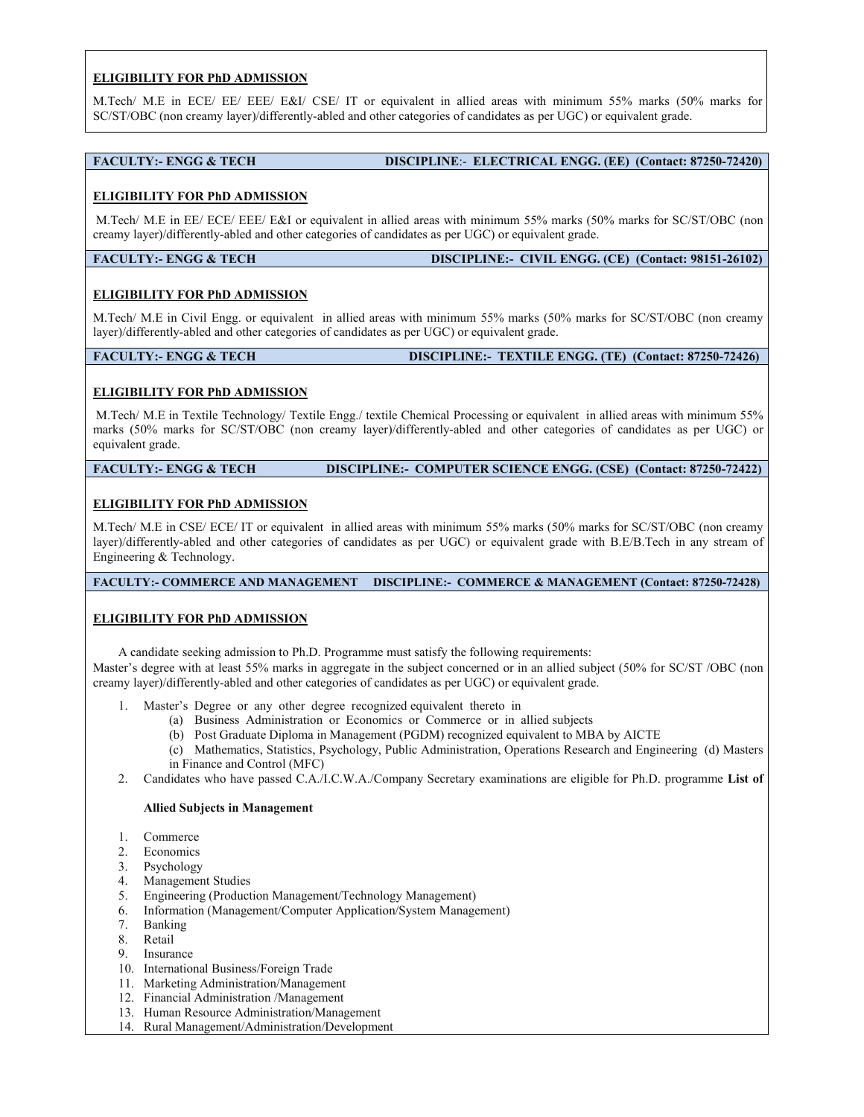ELIGIBILITY FOR PhD ADMISSION<br>
M.Tech/ M.E in ECE/ EE/ EEE/ E&I/ CSE/ IT or equivalent in allied areas with minimum 55% marks (50%)<br>
SC/ST/OBC (non creamy layer)/differently-abled and other categories of candidates as per ELIGIBILITY FOR PhD ADMISSION<br>M.Tech/ M.E in ECE/ EE/ EEE/ E&I/ CSE/ IT or equivalent in allied areas with minimum 55% marks (50% marks for<br>SC/ST/OBC (non creamy layer)/differently-abled and other categories of candidates ELIGIBILITY FOR PhD ADMISSION<br>M.Tech/ M.E in ECE/ EE/ EEE/ E&U/ CSE/ IT or equivalent in allied areas with minimum 55% marks (50% marks for<br>SC/ST/OBC (non creamy layer)/differently-abled and other categories of candidates

ELIGIBILITY FOR PhD ADMISSION<br>
M.Tech/ M.E in ECE/ EE/ EE/ EE/ S&I/ CSE/ IT or equivalent in allied areas with minimum 55% marks (50% marks for<br>
SC/ST/OBC (non creamy layer)/differently-abled and other categories of candid ELIGIBILITY FOR PhD ADMISSION<br>
M.Tech/ M.E in ECE/ EE/ EEE/ E&I/ CSE/ IT or equivalent in allied areas with minimum 55% marks (50%<br>
SC/ST/OBC (non creamy layer)/differently-abled and other categories of candidates as per U ELIGIBILITY FOR PhD ADMISSION<br>M.Tech/ M.E in ECE/ EEV EEV/ E&V/ CSE/ IT or equivalent in allied areas with minimum 55% marks (50% marks for<br>SC/ST/OBC (non creamy layer)/differently-abled and other eategories of candidates ELIGIBILITY FOR PhD ADMISSION<br>SC/ST/OBC (non creamy layer)/differently-abled and other categories of candidates as per UGC) or equivalent grade.<br>FACULTY:- ENGG & TECH DISCIPLINE:- ELECTRICAL ENGG. (EE) (Contact: 87250-7242 ELIGIBILITY FOR PhD ADMISSION<br>SC/ST/OBC (non creamy layer)/differently-abled and other eategories of candidates as per UGC) or equivalent grade.<br>FACULTY:- ENGG & TECH DISCIPLINE:- ELECTRICAL ENGG. (EE) (Contact: 87250-7242 **ELIGIBILITY FOR PhD ADMISSION**<br>
M.Tech<sup>/</sup> M.E in ECE<sup>*/ EE/ EEE/ E&U* CSE<sup>*/*</sup> IT or equivalent in allied areas with minimum 55% marks (50°<br>
SC/ST/OBC (non creamy layer)/differently-abled and other categories of candidate</sup> ELIGIBILITY FOR PhD ADMISSION<br>M.Tech/ M.E in ECE/ EE/ EE/ CSE/ IT or equivalent in allied areas with minimum 55% marks (50% marks for<br>CS/ST/OBC (non creamy layer)/differently-abled and other categories of candidates as per ELIGIBILITY FOR PhD ADMISSION<br>M.Tech/ M.E. in ECE/ EEP EEE/ E&V CSE/ IT or equivalent in allied areas with minimum 55% marks (50% marks for<br>SC/ST/OBC (non creamy hayer)/differently-abled and other categories of candidates

**ELIGIBILITY FOR PhD ADMISSION**<br>
M. Tech<sup>/</sup>M.E. in ECE/EE/EE/ER/ER/ER/CSE/IT or equivalent in allied areas with minimum 55% marks (50% marks for<br>
SC/ST/OBC (one creamy layer)/differently-abled and other eargeories of eandi ELIGIBILITY FOR PhD ADMISSION<br>
M.Tech/ M.E in ECE/ EE/ EEI/ E&I/ CSE/ IT or equivalent in allied areas with minimum 55% marks (50<br>
SC/ST/OBC (non creamy layer)/differently-abled and other categories of candidates as per UG ELIGIBILITY FOR PhD ADMISSION<br>M.Tech<sup>/</sup> M.E in ECE/ EEV EEV ERV CSE/ T or equivalent in allied areas with minimum 55% marks (50% marks for<br>SCSTOBC (tom recumy layer)/differently-abled and other categories of candidates as ELIGIBILITY FOR PhD ADMISSION<br>M.Tech M.E. in ECF FEF/ FEF/ ERIC CSE/ IT or equivalent in allied areas with minimum 55% marks (50% marks for<br>SC/ST/OBC (non creamy layer)/differently-abled and other categories of candidates ELIGIBILITY FOR PhD ADMISSION<br>M.Tech<sup>1</sup>M.E in ECE/ EEL/ ERE/ CSE/ IT or equivalent in allied areas with minimum iSCST/OBC (non creamy layer)/differently-abled and other categories of candidates as per UGC) or example.<br>
FAC ELIGIPLIATY: FOR PhD ADMISSION<br>
ENCEVAL: IL CO. TO ENCEVAL ENGG & TECH DISCIPLINE:- ELECTRICAL ENGG. (EE) (Contact: 87250-72420)<br>
ELIGIPLITY: FOR PhD ADMISSION<br>
M.Tech/M.E in EE/ ECE/EE/E E&I or equivalent in allied areas FACULTY: ENGG & TECH<br>
ELIGIBILITY FOR PhD ADMISSION<br>
M.Tech/M.E. in EE/ECE/EEE/E&I or equivalent in allied areas with minimum 55% marks (50% marks for SC/S<br>
creamy layer)/differently-abled and other categories of candidate ELIGIBILITY FOR PROTOBOX ELIGINATION CONTRIBUTE IN CONTRIBUTE IN A THE CONTRIBUTE IN A MANAGEMENT ON PROTOBOX AND MANAGEMENT OR PROTOBOX (THE SEC/ IT OR PROTOBOX) AND A MANAGEMENT OR PROTOBOX (THE SEC/ IT OR PROTOBOX) IN T ELIGIBILITY FOR PhD ADMISSION<br>
M.Tech/M.E in EE/ ECE/ EEF/ E&I or equivalent in allied areas with minimum 55% marks (50% marks for SC/ST/OBC (non<br>
TEACLIFY: ENGG & TECH<br>
FACULTY: ENGG & TECH<br>
ELIGIBILITY FOR PhD ADMISSION<br> ELIGIBILITY FOR PhD ADMISSION<br>
M.Tech<sup>1</sup>M.E in EEF ECK<sup>1</sup> ERE JPE ERE TRIGINGING TO THE TRIGINAL TRIGHT CONDITION CONDITIONS: CONTINUATIVE OR PHD ADMISSION<br>
ELIGIBILITY FOR PhD ADMISSION<br>
ELIGIBILITY FOR PhD ADMISSION<br>
M.T M. Ted: M.E. in EE-ECF EEL CAL or quivalent in allied areas with minimum 55% marks (50% marks for SC/ST/OBC (non<br>
FACULTY:- ENGG & TECH<br>
FACULTY:- ENGG & TECH<br>
DISCIPLINE:- CIVIL ENGG & TECH<br>
DISCIPLINE:- CIVIL ENGG & TECH **ELIGIBILITY FOR PhD ADMISSION**<br> **ELIGIBILITY FOR PhD ADMISSION**<br>
MITCHEV **ELIGIBILITY FOR PhD ADMISSION**<br>
MITCHEV M.E in Civil Engg. or equivalent in allied areas with minimum 55% marks (50% marks for SC/ST/OBC<br>
MITCHV M. **CIBILITY FOR PhD ADMISSION**<br>
Additional En Civil Engry or equivalent in allied areas with minimum 55% marks (50% marks for SC/ST/OBC (non creamy<br>
Volfferently-abled and other estepties of candidates as per UGC) or equiva M.Tech/M.E in Civil Engg. or equivalent in allied area with minimum 55% marks (50% marks for SCST/OBC (non creamy<br>
Heroldivently-abled and orber cangories of candidates as per UGC) or equivalent grade.<br> **ELIGIBILITY FOR Ph** M. Text M. In Civil Lingty required in allied terms with mannian 35% onlines (3/0% marks (or the MLC)<br>May differently-abled and other categories of candidates as per UGC) or equivalent grade.<br> **ELIGIBILITY FOR PhD ADMISSIO** 10.7Y:- ENGG & TECH<br>
1. Master or any other states or any other states or any other in Finance or any other states or any other<br>
1. Master's Degree recognized equivalent in allied areas with minimum 55%<br>
(solve marks for S ENGG & TECH<br>
FOR PhD ADMISSION<br>
FOR PhD ADMISSION<br>
In Textile Technology/Textile Engg/ textile Chemical Processing or equivalent in allied areas with minimum 55%<br>
In Textile Technology/Textile Engg/ textile Chemical Proces (FOR PhD ADMISSION)<br>
In Textile Technology/Textile Forgg/textile Chemical Processing or equivalent in allied areas with minimum 55%<br>
and the SCST/OBC (aon creamy layer)/differently-abled and other categories of candidates (FOR PhD ADMISSION<br>In Textile Technology/Textile Engg/textile Chemical Processing or equivalent in allied areas with minimum 55%<br>Instas for SC/ST/OBC (aon creamy layer)/differently-abled and other categories of candidates in Textile Technology/ Textile Engg./ textile Chemical Processing or equivalent in allied areas with minimum 55<br>hars for SC/ST/OBC (non-creamy layer)/differently-abled and other categories of candidates as per UGC)<br>le.<br>Rec

2. Candidate Technology Textile Tengel recursive C.A. Finance and Courter and Science of M.F. in Textile C. Company C.A. Company C.A. Company C.A. Company C.A. Company C.A. Company C.A. Company C.A. Company C.A. Company C. I grade.<br>
THY FOR PhD ADMISSION<br>
LITY FOR PhD ADMISSION<br>
LITY FOR PhD ADMISSION<br>
ALE in CSE<sup>V</sup> ECE/ IT or equivalent in allied areas with minimum 55% marks (50% marks for SC/ST/OBC (<br>
ALE in CSE/ ECE/ IT or equivalent in a **CHIPLITY FOR PhD ADMISSION**<br>
THELITY FOR PhD ADMISSION<br>
M.E. in CSF/ ECE/ IT or equivalent in allied areas with minimum 55% marks (50% marks)<br>
(Adifferently-select and other categories of eardidates as per UGC) or equival **GIBILITY FOR PhD ADMISSION**<br>
Che M.E. in CSE/ ECE/ IT or equivalent in allied areas with minimum 53% marks (50% marks)/differently-abled and other categories of candidates as per UGC) or equivalent grade with<br>
Distributio **GIBILITY FOR PhD ADMISSION**<br>
Sch<sup>/M</sup>. Eli CISE/ ECE/ IT or equivalent in allied areas with minimum 55% marks (50% marks)<br>
(differently-abled and other categories of candidates as per UGC) or equivalent grade with<br>
Differe ech<sup>/</sup>M.E in CSE<sup>/</sup>ECE<sup>/</sup> IT or equivalent in allied areas with minimum 55% marks (50% marks for SC/ST/C<br>
(Milferently-abled and other categories of eandidates as per UGC) or equivalent grade with B.E/B.Tech<br>
ULTY:- COMMER External technology. The Management Control (William South Management)<br>
1. Analysis of Management Control (C) or equivalent grade with BJ-PH Jesh in any stream of<br>
DETY: COMMERCE AND MANAGEMENT DISCIPLINE:- COMMERCE & MANA

FIRENT WORKER AND MANAGEMENT TRISCIPLINE: COMMERCE & MANAGEMENT (Contact: 87250-72428)<br>
EIEILITY:- COMMERCE AND MANAGEMENT TRISCIPLINE: COMMERCE & MANAGEMENT (Contact: 87250-72428)<br>
SIBILITY FOR PhD ADMISSION<br>
A condidate EXERCT: COMMERCE AND MANAGEMENT DISCIPLINE: COMMERCE & MANAGES<br>
THEILITY FOR PhD ADMISSION<br>
A candidate secking admission to Ph.D. Programme must satisfy the following requirements:<br>
are is degree with at least 55% marks i ULTY:= COMMERCE AND MANAGEMENT DISCIPLINE:= COMMERCE & MANAGES<br>
SIBILITY FOR PhD ADMISSION<br>
A candidate seeking admission to Ph.D. Programme must satisfy the following requirements:<br>
er's degree with at least 55% marks in **GIBILITY FOR PhD ADMISSION**<br>
A candidate seeking admission to Ph.D. Programme must satisfy the following requirements:<br>
er's degree with at least 52% marks in aggregate in the subject concerned or in an allied subject<br>
o **21BILITY FOR PhD ADMISSION**<br>
A candidate seeking admission to Ph.D. Programme must satisfy the following requirements:<br>
A candidate seeking admission to Ph.D. Programme must satisfy the following requirements:<br>
any layer **11. Allied Subjects in Management** and the fullowing requirements:<br>
A candidate seeking admission to Ph.D. Programme must satisfy the following requirements:<br>  $\sigma$  readgree with at least 5% marks in aggregate in the subj A candidate seeking admission to Ph.D. Programme must satisfy the following requirements:<br>
er's degree with at least 55% marks in aggregate in the subject concerned or in an allied subject<br>
1. Muster's Degree or any other A candidate secking administration DHD. Programme must satisfy the following equierements:<br>
are r's degree with at least 55% marks in aggregate in the subject concerned or in an allied subject (50% for SC/S<br>
ny layer)/diff

- -
	-
	-
- 

- 
- 
- 
- 
- 
- 
- 
- 
- 
- 
- 
- 
- 
- 14. Rural Management/Administration/Development